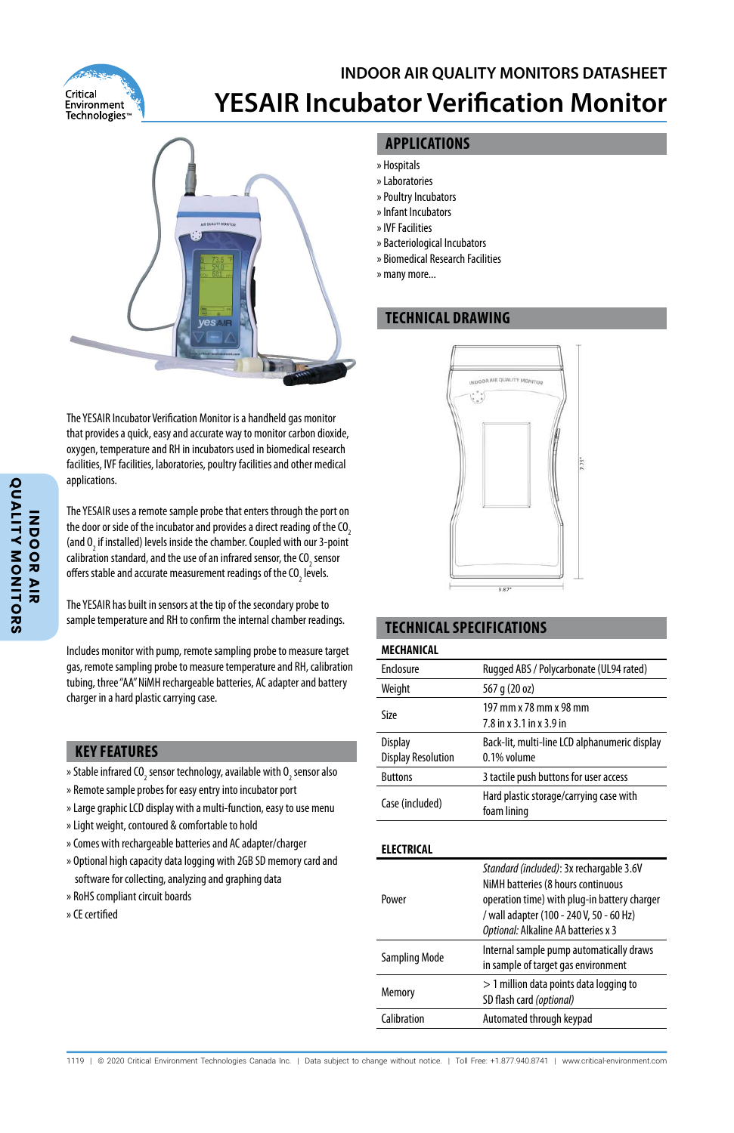

# **INDOOR AIR QUALITY MONITORS DATASHEET YESAIR Incubator Verification Monitor**



The YESAIR Incubator Verification Monitor is a handheld gas monitor that provides a quick, easy and accurate way to monitor carbon dioxide, oxygen, temperature and RH in incubators used in biomedical research facilities, IVF facilities, laboratories, poultry facilities and other medical applications.

The YESAIR uses a remote sample probe that enters through the port on the door or side of the incubator and provides a direct reading of the CO<sub>2</sub> (and  $0<sub>2</sub>$  if installed) levels inside the chamber. Coupled with our 3-point calibration standard, and the use of an infrared sensor, the CO<sub>2</sub> sensor offers stable and accurate measurement readings of the CO<sub>2</sub> levels.

The YESAIR has built in sensors at the tip of the secondary probe to sample temperature and RH to confirm the internal chamber readings.

Includes monitor with pump, remote sampling probe to measure target gas, remote sampling probe to measure temperature and RH, calibration tubing, three "AA" NiMH rechargeable batteries, AC adapter and battery charger in a hard plastic carrying case.

#### **KEY FEATURES**

- » Stable infrared CO<sub>2</sub> sensor technology, available with O<sub>2</sub> sensor also
- » Remote sample probes for easy entry into incubator port
- » Large graphic LCD display with a multi-function, easy to use menu
- » Light weight, contoured & comfortable to hold
- » Comes with rechargeable batteries and AC adapter/charger
- » Optional high capacity data logging with 2GB SD memory card and software for collecting, analyzing and graphing data
- » RoHS compliant circuit boards
- » CE certified

## **APPLICATIONS**

- » Hospitals
- » Laboratories
- » Poultry Incubators
- » Infant Incubators
- » IVF Facilities
- » Bacteriological Incubators
- » Biomedical Research Facilities
- » many more...

# **TECHNICAL DRAWING**



## **TECHNICAL SPECIFICATIONS**

| <b>MECHANICAL</b>         |                                               |  |  |  |
|---------------------------|-----------------------------------------------|--|--|--|
| Enclosure                 | Rugged ABS / Polycarbonate (UL94 rated)       |  |  |  |
| Weight                    | 567 g (20 oz)                                 |  |  |  |
| <b>Size</b>               | 197 mm x 78 mm x 98 mm                        |  |  |  |
|                           | 7.8 in x 3.1 in x 3.9 in                      |  |  |  |
| <b>Display</b>            | Back-lit, multi-line LCD alphanumeric display |  |  |  |
| <b>Display Resolution</b> | 0.1% volume                                   |  |  |  |
| <b>Buttons</b>            | 3 tactile push buttons for user access        |  |  |  |
| Case (included)           | Hard plastic storage/carrying case with       |  |  |  |
|                           | foam lining                                   |  |  |  |
|                           |                                               |  |  |  |
| <b>ELECTRICAL</b>         |                                               |  |  |  |
|                           | Standard (included): 3x rechargable 3.6V      |  |  |  |
|                           | NiMH batteries (8 hours continuous            |  |  |  |
| Power                     | operation time) with plug-in battery charger  |  |  |  |
|                           | / wall adapter (100 - 240 V, 50 - 60 Hz)      |  |  |  |
|                           | Optional: Alkaline AA batteries x 3           |  |  |  |
| <b>Sampling Mode</b>      | Internal sample pump automatically draws      |  |  |  |
|                           | in sample of target gas environment           |  |  |  |
| Memory                    | > 1 million data points data logging to       |  |  |  |
|                           | SD flash card (optional)                      |  |  |  |

Calibration Automated through keypad